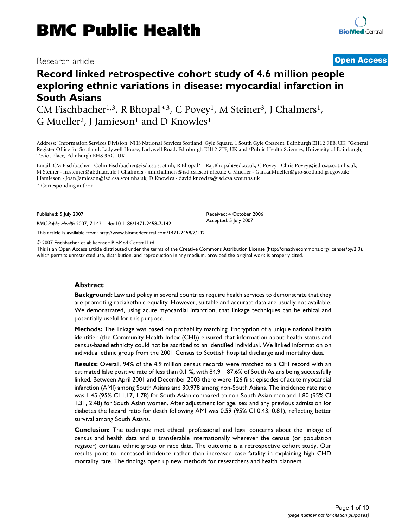# Research article **[Open Access](http://www.biomedcentral.com/info/about/charter/)**

# **Record linked retrospective cohort study of 4.6 million people exploring ethnic variations in disease: myocardial infarction in South Asians**

CM Fischbacher<sup>1,3</sup>, R Bhopal<sup>\*3</sup>, C Povey<sup>1</sup>, M Steiner<sup>3</sup>, J Chalmers<sup>1</sup>, G Mueller<sup>2</sup>, J Jamieson<sup>1</sup> and D Knowles<sup>1</sup>

Address: 1Information Services Division, NHS National Services Scotland, Gyle Square, 1 South Gyle Crescent, Edinburgh EH12 9EB, UK, 2General Register Office for Scotland, Ladywell House, Ladywell Road, Edinburgh EH12 7TF, UK and 3Public Health Sciences, University of Edinburgh, Teviot Place, Edinburgh EH8 9AG, UK

Email: CM Fischbacher - Colin.Fischbacher@isd.csa.scot.nh; R Bhopal\* - Raj.Bhopal@ed.ac.uk; C Povey - Chris.Povey@isd.csa.scot.nhs.uk; M Steiner - m.steiner@abdn.ac.uk; J Chalmers - jim.chalmers@isd.csa.scot.nhs.uk; G Mueller - Ganka.Mueller@gro-scotland.gsi.gov.uk; J Jamieson - Joan.Jamieson@isd.csa.scot.nhs.uk; D Knowles - david.knowles@isd.csa.scot.nhs.uk

\* Corresponding author

Published: 5 July 2007

*BMC Public Health* 2007, **7**:142 doi:10.1186/1471-2458-7-142

[This article is available from: http://www.biomedcentral.com/1471-2458/7/142](http://www.biomedcentral.com/1471-2458/7/142)

© 2007 Fischbacher et al; licensee BioMed Central Ltd.

This is an Open Access article distributed under the terms of the Creative Commons Attribution License [\(http://creativecommons.org/licenses/by/2.0\)](http://creativecommons.org/licenses/by/2.0), which permits unrestricted use, distribution, and reproduction in any medium, provided the original work is properly cited.

Received: 4 October 2006 Accepted: 5 July 2007

#### **Abstract**

**Background:** Law and policy in several countries require health services to demonstrate that they are promoting racial/ethnic equality. However, suitable and accurate data are usually not available. We demonstrated, using acute myocardial infarction, that linkage techniques can be ethical and potentially useful for this purpose.

**Methods:** The linkage was based on probability matching. Encryption of a unique national health identifier (the Community Health Index (CHI)) ensured that information about health status and census-based ethnicity could not be ascribed to an identified individual. We linked information on individual ethnic group from the 2001 Census to Scottish hospital discharge and mortality data.

**Results:** Overall, 94% of the 4.9 million census records were matched to a CHI record with an estimated false positive rate of less than 0.1 %, with 84.9 – 87.6% of South Asians being successfully linked. Between April 2001 and December 2003 there were 126 first episodes of acute myocardial infarction (AMI) among South Asians and 30,978 among non-South Asians. The incidence rate ratio was 1.45 (95% CI 1.17, 1.78) for South Asian compared to non-South Asian men and 1.80 (95% CI 1.31, 2.48) for South Asian women. After adjustment for age, sex and any previous admission for diabetes the hazard ratio for death following AMI was 0.59 (95% CI 0.43, 0.81), reflecting better survival among South Asians.

**Conclusion:** The technique met ethical, professional and legal concerns about the linkage of census and health data and is transferable internationally wherever the census (or population register) contains ethnic group or race data. The outcome is a retrospective cohort study. Our results point to increased incidence rather than increased case fatality in explaining high CHD mortality rate. The findings open up new methods for researchers and health planners.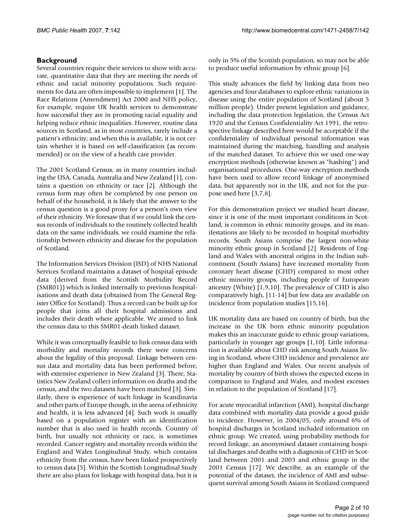## **Background**

Several countries require their services to show with accurate, quantitative data that they are meeting the needs of ethnic and racial minority populations. Such requirements for data are often impossible to implement [1]. The Race Relations (Amendment) Act 2000 and NHS policy, for example, require UK health services to demonstrate how successful they are in promoting racial equality and helping reduce ethnic inequalities. However, routine data sources in Scotland, as in most countries, rarely include a patient's ethnicity, and when this is available, it is not certain whether it is based on self-classification (as recommended) or on the view of a health care provider.

The 2001 Scotland Census, as in many countries including the USA, Canada, Australia and New Zealand [1], contains a question on ethnicity or race [2]. Although the census form may often be completed by one person on behalf of the household, it is likely that the answer to the census question is a good proxy for a person's own view of their ethnicity. We foresaw that if we could link the census records of individuals to the routinely collected health data on the same individuals, we could examine the relationship between ethnicity and disease for the population of Scotland.

The Information Services Division (ISD) of NHS National Services Scotland maintains a dataset of hospital episode data (derived from the Scottish Morbidity Record (SMR01)) which is linked internally to previous hospitalisations and death data (obtained from The General Register Office for Scotland). Thus a record can be built up for people that joins all their hospital admissions and includes their death where applicable. We aimed to link the census data to this SMR01-death linked dataset.

While it was conceptually feasible to link census data with morbidity and mortality records there were concerns about the legality of this proposal. Linkage between census data and mortality data has been performed before, with extensive experience in New Zealand [3]. There, Statistics New Zealand collect information on deaths and the census, and the two datasets have been matched [3]. Similarly, there is experience of such linkage in Scandinavia and other parts of Europe though, in the arena of ethnicity and health, it is less advanced [4]. Such work is usually based on a population register with an identification number that is also used in health records. Country of birth, but usually not ethnicity or race, is sometimes recorded. Cancer registry and mortality records within the England and Wales Longitudinal Study, which contains ethnicity from the census, have been linked prospectively to census data [5]. Within the Scottish Longitudinal Study there are also plans for linkage with hospital data, but it is

only in 5% of the Scottish population, so may not be able to produce useful information by ethnic group [6].

This study advances the field by linking data from two agencies and four databases to explore ethnic variations in disease using the entire population of Scotland (about 5 million people). Under present legislation and guidance, including the data protection legislation, the Census Act 1920 and the Census Confidentiality Act 1991, the retrospective linkage described here would be acceptable if the confidentiality of individual personal information was maintained during the matching, handling and analysis of the matched dataset. To achieve this we used one-way encryption methods (otherwise known as "hashing") and organisational procedures. One-way encryption methods have been used to allow record linkage of anonymised data, but apparently not in the UK, and not for the purpose used here [3,7,8].

For this demonstration project we studied heart disease, since it is one of the most important conditions in Scotland, is common in ethnic minority groups, and its manifestations are likely to be recorded in hospital morbidity records. South Asians comprise the largest non-white minority ethnic group in Scotland [2]. Residents of England and Wales with ancestral origins in the Indian subcontinent (South Asians) have increased mortality from coronary heart disease (CHD) compared to most other ethnic minority groups, including people of European ancestry (White) [1,9,10]. The prevalence of CHD is also comparatively high, [11-14] but few data are available on incidence from population studies [15,16].

UK mortality data are based on country of birth, but the increase in the UK born ethnic minority population makes this an inaccurate guide to ethnic group variations, particularly in younger age groups [1,10]. Little information is available about CHD risk among South Asians living in Scotland, where CHD incidence and prevalence are higher than England and Wales. Our recent analysis of mortality by country of birth shows the expected excess in comparison to England and Wales, and modest excesses in relation to the population of Scotland [17].

For acute myocardial infarction (AMI), hospital discharge data combined with mortality data provide a good guide to incidence. However, in 2004/05, only around 6% of hospital discharges in Scotland included information on ethnic group. We created, using probability methods for record linkage, an anonymised dataset containing hospital discharges and deaths with a diagnosis of CHD in Scotland between 2001 and 2003 and ethnic group in the 2001 Census [17]. We describe, as an example of the potential of the dataset, the incidence of AMI and subsequent survival among South Asians in Scotland compared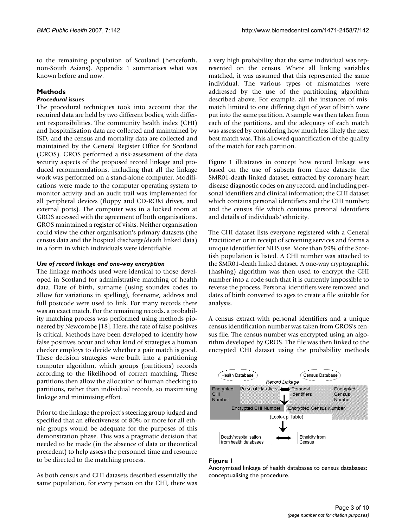to the remaining population of Scotland (henceforth, non-South Asians). Appendix 1 summarises what was known before and now.

#### **Methods**

#### *Procedural issues*

The procedural techniques took into account that the required data are held by two different bodies, with different responsibilities. The community health index (CHI) and hospitalisation data are collected and maintained by ISD, and the census and mortality data are collected and maintained by the General Register Office for Scotland (GROS). GROS performed a risk-assessment of the data security aspects of the proposed record linkage and produced recommendations, including that all the linkage work was performed on a stand-alone computer. Modifications were made to the computer operating system to monitor activity and an audit trail was implemented for all peripheral devices (floppy and CD-ROM drives, and external ports). The computer was in a locked room at GROS accessed with the agreement of both organisations. GROS maintained a register of visits. Neither organisation could view the other organisation's primary datasets (the census data and the hospital discharge/death linked data) in a form in which individuals were identifiable.

#### *Use of record linkage and one-way encryption*

The linkage methods used were identical to those developed in Scotland for administrative matching of health data. Date of birth, surname (using soundex codes to allow for variations in spelling), forename, address and full postcode were used to link. For many records there was an exact match. For the remaining records, a probability matching process was performed using methods pioneered by Newcombe [18]. Here, the rate of false positives is critical. Methods have been developed to identify how false positives occur and what kind of strategies a human checker employs to decide whether a pair match is good. These decision strategies were built into a partitioning computer algorithm, which groups (partitions) records according to the likelihood of correct matching. These partitions then allow the allocation of human checking to partitions, rather than individual records, so maximising linkage and minimising effort.

Prior to the linkage the project's steering group judged and specified that an effectiveness of 80% or more for all ethnic groups would be adequate for the purposes of this demonstration phase. This was a pragmatic decision that needed to be made (in the absence of data or theoretical precedent) to help assess the personnel time and resource to be directed to the matching process.

As both census and CHI datasets described essentially the same population, for every person on the CHI, there was

a very high probability that the same individual was represented on the census. Where all linking variables matched, it was assumed that this represented the same individual. The various types of mismatches were addressed by the use of the partitioning algorithm described above. For example, all the instances of mismatch limited to one differing digit of year of birth were put into the same partition. A sample was then taken from each of the partitions, and the adequacy of each match was assessed by considering how much less likely the next best match was. This allowed quantification of the quality of the match for each partition.

Figure 1 illustrates in concept how record linkage was based on the use of subsets from three datasets: the SMR01-death linked dataset, extracted by coronary heart disease diagnostic codes on any record, and including personal identifiers and clinical information; the CHI dataset which contains personal identifiers and the CHI number; and the census file which contains personal identifiers and details of individuals' ethnicity.

The CHI dataset lists everyone registered with a General Practitioner or in receipt of screening services and forms a unique identifier for NHS use. More than 99% of the Scottish population is listed. A CHI number was attached to the SMR01-death linked dataset. A one-way cryptographic (hashing) algorithm was then used to encrypt the CHI number into a code such that it is currently impossible to reverse the process. Personal identifiers were removed and dates of birth converted to ages to create a file suitable for analysis.

A census extract with personal identifiers and a unique census identification number was taken from GROS's census file. The census number was encrypted using an algorithm developed by GROS. The file was then linked to the encrypted CHI dataset using the probability methods



#### Figure 1

Anonymised linkage of health databases to census databases: conceptualising the procedure.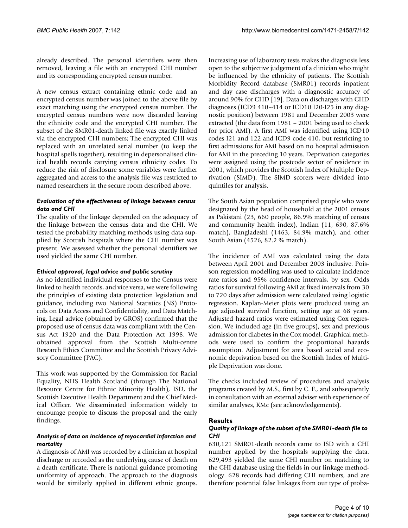already described. The personal identifiers were then removed, leaving a file with an encrypted CHI number and its corresponding encrypted census number.

A new census extract containing ethnic code and an encrypted census number was joined to the above file by exact matching using the encrypted census number. The encrypted census numbers were now discarded leaving the ethnicity code and the encrypted CHI number. The subset of the SMR01-death linked file was exactly linked via the encrypted CHI numbers; The encrypted CHI was replaced with an unrelated serial number (to keep the hospital spells together), resulting in depersonalised clinical health records carrying census ethnicity codes. To reduce the risk of disclosure some variables were further aggregated and access to the analysis file was restricted to named researchers in the secure room described above.

#### *Evaluation of the effectiveness of linkage between census data and CHI*

The quality of the linkage depended on the adequacy of the linkage between the census data and the CHI. We tested the probability matching methods using data supplied by Scottish hospitals where the CHI number was present. We assessed whether the personal identifiers we used yielded the same CHI number.

#### *Ethical approval, legal advice and public scrutiny*

As no identified individual responses to the Census were linked to health records, and vice versa, we were following the principles of existing data protection legislation and guidance, including two National Statistics (NS) Protocols on Data Access and Confidentiality, and Data Matching. Legal advice (obtained by GROS) confirmed that the proposed use of census data was compliant with the Census Act 1920 and the Data Protection Act 1998. We obtained approval from the Scottish Multi-centre Research Ethics Committee and the Scottish Privacy Advisory Committee (PAC).

This work was supported by the Commission for Racial Equality, NHS Health Scotland (through The National Resource Centre for Ethnic Minority Health), ISD, the Scottish Executive Health Department and the Chief Medical Officer. We disseminated information widely to encourage people to discuss the proposal and the early findings.

#### *Analysis of data on incidence of myocardial infarction and mortality*

A diagnosis of AMI was recorded by a clinician at hospital discharge or recorded as the underlying cause of death on a death certificate. There is national guidance promoting uniformity of approach. The approach to the diagnosis would be similarly applied in different ethnic groups.

Increasing use of laboratory tests makes the diagnosis less open to the subjective judgement of a clinician who might be influenced by the ethnicity of patients. The Scottish Morbidity Record database (SMR01) records inpatient and day case discharges with a diagnostic accuracy of around 90% for CHD [19]. Data on discharges with CHD diagnoses (ICD9 410–414 or ICD10 I20-I25 in any diagnostic position) between 1981 and December 2003 were extracted (the data from 1981 – 2001 being used to check for prior AMI). A first AMI was identified using ICD10 codes I21 and 122 and ICD9 code 410, but restricting to first admissions for AMI based on no hospital admission for AMI in the preceding 10 years. Deprivation categories were assigned using the postcode sector of residence in 2001, which provides the Scottish Index of Multiple Deprivation (SIMD). The SIMD scorers were divided into quintiles for analysis.

The South Asian population comprised people who were designated by the head of household at the 2001 census as Pakistani (23, 660 people, 86.9% matching of census and community health index), Indian (11, 690, 87.6% match), Bangladeshi (1463, 84.9% match), and other South Asian (4526, 82.2 % match).

The incidence of AMI was calculated using the data between April 2001 and December 2003 inclusive. Poisson regression modelling was used to calculate incidence rate ratios and 95% confidence intervals, by sex. Odds ratios for survival following AMI at fixed intervals from 30 to 720 days after admission were calculated using logistic regression. Kaplan-Meier plots were produced using an age adjusted survival function, setting age at 68 years. Adjusted hazard ratios were estimated using Cox regression. We included age (in five groups), sex and previous admission for diabetes in the Cox model. Graphical methods were used to confirm the proportional hazards assumption. Adjustment for area based social and economic deprivation based on the Scottish Index of Multiple Deprivation was done.

The checks included review of procedures and analysis programs created by M.S., first by C. F., and subsequently in consultation with an external adviser with experience of similar analyses, KMc (see acknowledgements).

#### **Results**

#### *Quality of linkage of the subset of the SMR01-death file to CHI*

630,121 SMR01-death records came to ISD with a CHI number applied by the hospitals supplying the data. 629,493 yielded the same CHI number on matching to the CHI database using the fields in our linkage methodology. 628 records had differing CHI numbers, and are therefore potential false linkages from our type of proba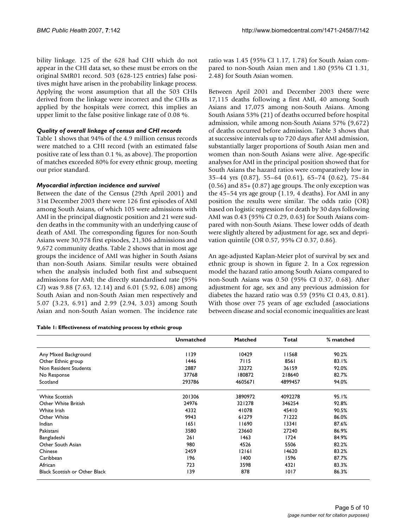bility linkage. 125 of the 628 had CHI which do not appear in the CHI data set, so these must be errors on the original SMR01 record. 503 (628-125 entries) false positives might have arisen in the probability linkage process. Applying the worst assumption that all the 503 CHIs derived from the linkage were incorrect and the CHIs as applied by the hospitals were correct, this implies an upper limit to the false positive linkage rate of 0.08 %.

#### *Quality of overall linkage of census and CHI records*

Table 1 shows that 94% of the 4.9 million census records were matched to a CHI record (with an estimated false positive rate of less than 0.1 %, as above). The proportion of matches exceeded 80% for every ethnic group, meeting our prior standard.

#### *Myocardial infarction incidence and survival*

Between the date of the Census (29th April 2001) and 31st December 2003 there were 126 first episodes of AMI among South Asians, of which 105 were admissions with AMI in the principal diagnostic position and 21 were sudden deaths in the community with an underlying cause of death of AMI. The corresponding figures for non-South Asians were 30,978 first episodes, 21,306 admissions and 9,672 community deaths. Table 2 shows that in most age groups the incidence of AMI was higher in South Asians than non-South Asians. Similar results were obtained when the analysis included both first and subsequent admissions for AMI; the directly standardised rate (95% *CI*) was 9.88 (7.63, 12.14) and 6.01 (5.92, 6.08) among South Asian and non-South Asian men respectively and 5.07 (3.23, 6.91) and 2.99 (2.94, 3.03) among South Asian and non-South Asian women. The incidence rate

ratio was 1.45 (95% CI 1.17, 1.78) for South Asian compared to non-South Asian men and 1.80 (95% CI 1.31, 2.48) for South Asian women.

Between April 2001 and December 2003 there were 17,115 deaths following a first AMI, 40 among South Asians and 17,075 among non-South Asians. Among South Asians 53% (21) of deaths occurred before hospital admission, while among non-South Asians 57% (9,672) of deaths occurred before admission. Table 3 shows that at successive intervals up to 720 days after AMI admission, substantially larger proportions of South Asian men and women than non-South Asians were alive. Age-specific analyses for AMI in the principal position showed that for South Asians the hazard ratios were comparatively low in 35–44 yrs (0.87), 55–64 (0.61), 65–74 (0.62), 75–84 (0.56) and 85+ (0.87) age groups. The only exception was the 45–54 yrs age group (1.19, 4 deaths). For AMI in any position the results were similar. The odds ratio (OR) based on logistic regression for death by 30 days following AMI was 0.43 (95% *CI* 0.29, 0.63) for South Asians compared with non-South Asians. These lower odds of death were slightly altered by adjustment for age, sex and deprivation quintile (OR 0.57, 95% *CI* 0.37, 0.86).

An age-adjusted Kaplan-Meier plot of survival by sex and ethnic group is shown in figure 2. In a Cox regression model the hazard ratio among South Asians compared to non-South Asians was 0.50 (95% CI 0.37, 0.68). After adjustment for age, sex and any previous admission for diabetes the hazard ratio was 0.59 (95% CI 0.43, 0.81). With those over 75 years of age excluded (associations between disease and social economic inequalities are least

|                                      | <b>Unmatched</b> | <b>Matched</b> | Total   | % matched |
|--------------------------------------|------------------|----------------|---------|-----------|
| Any Mixed Background                 | 1139             | 10429          | 11568   | 90.2%     |
| Other Ethnic group                   | 1446             | 7115           | 8561    | 83.1%     |
| Non Resident Students                | 2887             | 33272          | 36159   | 92.0%     |
| No Response                          | 37768            | 180872         | 218640  | 82.7%     |
| Scotland                             | 293786           | 4605671        | 4899457 | 94.0%     |
| <b>White Scottish</b>                | 201306           | 3890972        | 4092278 | 95.1%     |
| Other White British                  | 24976            | 321278         | 346254  | 92.8%     |
| White Irish                          | 4332             | 41078          | 45410   | 90.5%     |
| Other White                          | 9943             | 61279          | 71222   | 86.0%     |
| Indian                               | 1651             | 11690          | 13341   | 87.6%     |
| Pakistani                            | 3580             | 23660          | 27240   | 86.9%     |
| Bangladeshi                          | 261              | 1463           | 1724    | 84.9%     |
| Other South Asian                    | 980              | 4526           | 5506    | 82.2%     |
| Chinese                              | 2459             | 12161          | 14620   | 83.2%     |
| Caribbean                            | 196              | 1400           | 1596    | 87.7%     |
| African                              | 723              | 3598           | 4321    | 83.3%     |
| <b>Black Scottish or Other Black</b> | 139              | 878            | 1017    | 86.3%     |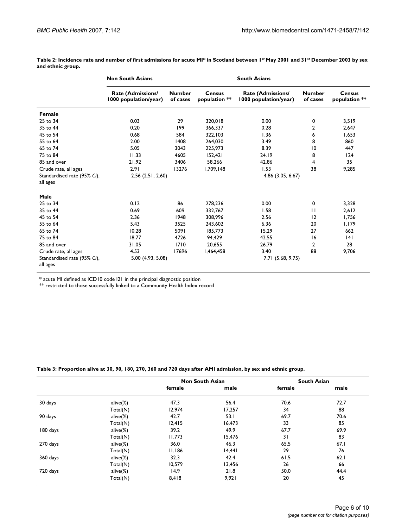|                                         | <b>Non South Asians</b>                    |                           |                                | <b>South Asians</b>                        |                           |                                |  |
|-----------------------------------------|--------------------------------------------|---------------------------|--------------------------------|--------------------------------------------|---------------------------|--------------------------------|--|
|                                         | Rate (Admissions/<br>1000 population/year) | <b>Number</b><br>of cases | <b>Census</b><br>population ** | Rate (Admissions/<br>1000 population/year) | <b>Number</b><br>of cases | <b>Census</b><br>population ** |  |
| Female                                  |                                            |                           |                                |                                            |                           |                                |  |
| 25 to 34                                | 0.03                                       | 29                        | 320,018                        | 0.00                                       | 0                         | 3,519                          |  |
| 35 to 44                                | 0.20                                       | 199                       | 366,337                        | 0.28                                       | $\overline{2}$            | 2,647                          |  |
| 45 to 54                                | 0.68                                       | 584                       | 322,103                        | 1.36                                       | 6                         | 1,653                          |  |
| 55 to 64                                | 2.00                                       | 1408                      | 264,030                        | 3.49                                       | 8                         | 860                            |  |
| 65 to 74                                | 5.05                                       | 3043                      | 225,973                        | 8.39                                       | 10                        | 447                            |  |
| 75 to 84                                | 11.33                                      | 4605                      | 152,421                        | 24.19                                      | 8                         | 124                            |  |
| 85 and over                             | 21.92                                      | 3406                      | 58,266                         | 42.86                                      | 4                         | 35                             |  |
| Crude rate, all ages                    | 2.91                                       | 13276                     | 1,709,148                      | 1.53                                       | 38                        | 9,285                          |  |
| Standardised rate (95% CI),<br>all ages | 2.56(2.51, 2.60)                           |                           |                                | 4.86 (3.05, 6.67)                          |                           |                                |  |
| Male                                    |                                            |                           |                                |                                            |                           |                                |  |
| 25 to 34                                | 0.12                                       | 86                        | 278,236                        | 0.00                                       | 0                         | 3,328                          |  |
| 35 to 44                                | 0.69                                       | 609                       | 332,767                        | 1.58                                       | П                         | 2,612                          |  |
| 45 to 54                                | 2.36                                       | 1948                      | 308,996                        | 2.56                                       | 12                        | 1,756                          |  |
| 55 to 64                                | 5.43                                       | 3525                      | 243,602                        | 6.36                                       | 20                        | 1,179                          |  |
| 65 to 74                                | 10.28                                      | 5091                      | 185,773                        | 15.29                                      | 27                        | 662                            |  |
| 75 to 84                                | 18.77                                      | 4726                      | 94,429                         | 42.55                                      | 16                        | 141                            |  |
| 85 and over                             | 31.05                                      | 1710                      | 20,655                         | 26.79                                      | $\overline{2}$            | 28                             |  |
| Crude rate, all ages                    | 4.53                                       | 17696                     | 1,464,458                      | 3.40                                       | 88                        | 9,706                          |  |
| Standardised rate (95% CI),<br>all ages | 5.00 (4.93, 5.08)                          |                           |                                | 7.71 (5.68, 9.75)                          |                           |                                |  |

**Table 2: Incidence rate and number of first admissions for acute MI\* in Scotland between 1st May 2001 and 31st December 2003 by sex and ethnic group.**

\* acute MI defined as ICD10 code I21 in the principal diagnostic position

 $**$  restricted to those successfully linked to a Community Health Index record

**Table 3: Proportion alive at 30, 90, 180, 270, 360 and 720 days after AMI admission, by sex and ethnic group.**

|          |          | <b>Non South Asian</b> |        | <b>South Asian</b> |      |
|----------|----------|------------------------|--------|--------------------|------|
|          |          | female                 | male   | female             | male |
| 30 days  | alive(%) | 47.3                   | 56.4   | 70.6               | 72.7 |
|          | Total(N) | 12,974                 | 17,257 | 34                 | 88   |
| 90 days  | alive(%) | 42.7                   | 53.1   | 69.7               | 70.6 |
|          | Total(N) | 12,415                 | 16,473 | 33                 | 85   |
| 180 days | alive(%) | 39.2                   | 49.9   | 67.7               | 69.9 |
|          | Total(N) | 11,773                 | 15,476 | 31                 | 83   |
| 270 days | alive(%) | 36.0                   | 46.3   | 65.5               | 67.1 |
|          | Total(N) | 11,186                 | 14,441 | 29                 | 76   |
| 360 days | alive(%) | 32.3                   | 42.4   | 61.5               | 62.1 |
|          | Total(N) | 10,579                 | 13,456 | 26                 | 66   |
| 720 days | alive(%) | 14.9                   | 21.8   | 50.0               | 44.4 |
|          | Total(N) | 8,418                  | 9,921  | 20                 | 45   |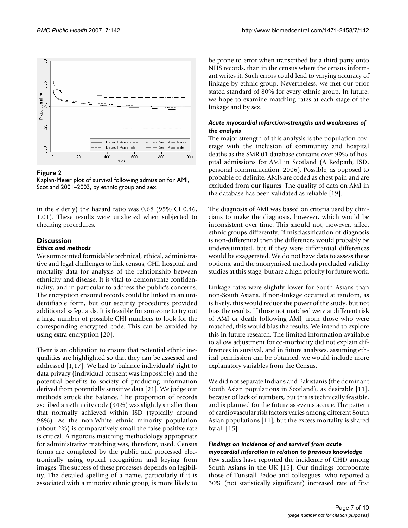

#### Figure 2



in the elderly) the hazard ratio was 0.68 (95% CI 0.46, 1.01). These results were unaltered when subjected to checking procedures.

#### **Discussion** *Ethics and methods*

We surmounted formidable technical, ethical, administrative and legal challenges to link census, CHI, hospital and mortality data for analysis of the relationship between ethnicity and disease. It is vital to demonstrate confidentiality, and in particular to address the public's concerns. The encryption ensured records could be linked in an unidentifiable form, but our security procedures provided additional safeguards. It is feasible for someone to try out a large number of possible CHI numbers to look for the corresponding encrypted code. This can be avoided by using extra encryption [20].

There is an obligation to ensure that potential ethnic inequalities are highlighted so that they can be assessed and addressed [1,17]. We had to balance individuals' right to data privacy (individual consent was impossible) and the potential benefits to society of producing information derived from potentially sensitive data [21]. We judge our methods struck the balance. The proportion of records ascribed an ethnicity code (94%) was slightly smaller than that normally achieved within ISD (typically around 98%). As the non-White ethnic minority population (about 2%) is comparatively small the false positive rate is critical. A rigorous matching methodology appropriate for administrative matching was, therefore, used. Census forms are completed by the public and processed electronically using optical recognition and keying from images. The success of these processes depends on legibility. The detailed spelling of a name, particularly if it is associated with a minority ethnic group, is more likely to

be prone to error when transcribed by a third party onto NHS records, than in the census where the census informant writes it. Such errors could lead to varying accuracy of linkage by ethnic group. Nevertheless, we met our prior stated standard of 80% for every ethnic group. In future, we hope to examine matching rates at each stage of the linkage and by sex.

#### *Acute myocardial infarction-strengths and weaknesses of the analysis*

The major strength of this analysis is the population coverage with the inclusion of community and hospital deaths as the SMR 01 database contains over 99% of hospital admissions for AMI in Scotland (A Redpath, ISD, personal communication, 2006). Possible, as opposed to probable or definite, AMIs are coded as chest pain and are excluded from our figures. The quality of data on AMI in the database has been validated as reliable [19].

The diagnosis of AMI was based on criteria used by clinicians to make the diagnosis, however, which would be inconsistent over time. This should not, however, affect ethnic groups differently. If misclassification of diagnosis is non-differential then the differences would probably be underestimated, but if they were differential differences would be exaggerated. We do not have data to assess these options, and the anonymised methods precluded validity studies at this stage, but are a high priority for future work.

Linkage rates were slightly lower for South Asians than non-South Asians. If non-linkage occurred at random, as is likely, this would reduce the power of the study, but not bias the results. If those not matched were at different risk of AMI or death following AMI, from those who were matched, this would bias the results. We intend to explore this in future research. The limited information available to allow adjustment for co-morbidity did not explain differences in survival, and in future analyses, assuming ethical permission can be obtained, we would include more explanatory variables from the Census.

We did not separate Indians and Pakistanis (the dominant South Asian populations in Scotland), as desirable [11], because of lack of numbers, but this is technically feasible, and is planned for the future as events accrue. The pattern of cardiovascular risk factors varies among different South Asian populations [11], but the excess mortality is shared by all [15].

#### *Findings on incidence of and survival from acute myocardial infarction in relation to previous knowledge*

Few studies have reported the incidence of CHD among South Asians in the UK [15]. Our findings corroborate those of Tunstall-Pedoe and colleagues who reported a 30% (not statistically significant) increased rate of first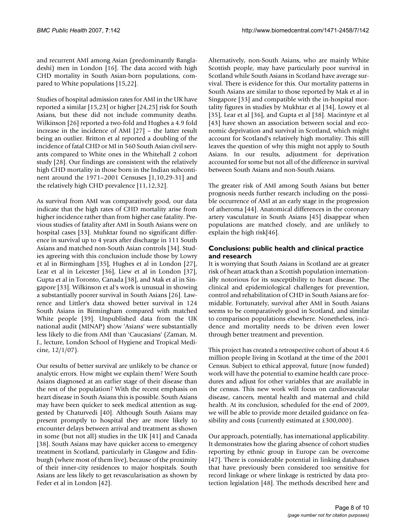and recurrent AMI among Asian (predominantly Bangladeshi) men in London [16]. The data accord with high CHD mortality in South Asian-born populations, compared to White populations [15,22].

Studies of hospital admission rates for AMI in the UK have reported a similar [15,23] or higher [24,25] risk for South Asians, but these did not include community deaths. Wilkinson [26] reported a two-fold and Hughes a 4.9 fold increase in the incidence of AMI [27] – the latter result being an outlier. Britton et al reported a doubling of the incidence of fatal CHD or MI in 560 South Asian civil servants compared to White ones in the Whitehall 2 cohort study [28]. Our findings are consistent with the relatively high CHD mortality in those born in the Indian subcontinent around the 1971–2001 Censuses [1,10,29-31] and the relatively high CHD prevalence [11,12,32].

As survival from AMI was comparatively good, our data indicate that the high rates of CHD mortality arise from higher incidence rather than from higher case fatality. Previous studies of fatality after AMI in South Asians were on hospital cases [33]. Muhktar found no significant difference in survival up to 4 years after discharge in 111 South Asians and matched non-South Asian controls [34]. Studies agreeing with this conclusion include those by Lowry et al in Birmingham [35], Hughes et al in London [27], Lear et al in Leicester [36], Liew et al in London [37], Gupta et al in Toronto, Canada [38], and Mak et al in Singapore [33]. Wilkinson et al's work is unusual in showing a substantially poorer survival in South Asians [26]. Lawrence and Littler's data showed better survival in 124 South Asians in Birmingham compared with matched White people [39]. Unpublished data from the UK national audit (MINAP) show 'Asians' were substantially less likely to die from AMI than 'Caucasians' (Zaman, M. J., lecture, London School of Hygiene and Tropical Medicine, 12/1/07).

Our results of better survival are unlikely to be chance or analytic errors. How might we explain them? Were South Asians diagnosed at an earlier stage of their disease than the rest of the population? With the recent emphasis on heart disease in South Asians this is possible. South Asians may have been quicker to seek medical attention as suggested by Chaturvedi [40]. Although South Asians may present promptly to hospital they are more likely to encounter delays between arrival and treatment as shown in some (but not all) studies in the UK [41] and Canada [38]. South Asians may have quicker access to emergency treatment in Scotland, particularly in Glasgow and Edinburgh (where most of them live), because of the proximity of their inner-city residences to major hospitals. South Asians are less likely to get revascularisation as shown by Feder et al in London [42].

Alternatively, non-South Asians, who are mainly White Scottish people, may have particularly poor survival in Scotland while South Asians in Scotland have average survival. There is evidence for this. Our mortality patterns in South Asians are similar to those reported by Mak et al in Singapore [33] and compatible with the in-hospital mortality figures in studies by Mukhtar et al [34], Lowry et al [35], Lear et al [36], and Gupta et al [38]. Macintyre et al [43] have shown an association between social and economic deprivation and survival in Scotland, which might account for Scotland's relatively high mortality. This still leaves the question of why this might not apply to South Asians. In our results, adjustment for deprivation accounted for some but not all of the difference in survival between South Asians and non-South Asians.

The greater risk of AMI among South Asians but better prognosis needs further research including on the possible occurrence of AMI at an early stage in the progression of atheroma [44]. Anatomical differences in the coronary artery vasculature in South Asians [45] disappear when populations are matched closely, and are unlikely to explain the high risk[46].

### **Conclusions: public health and clinical practice and research**

It is worrying that South Asians in Scotland are at greater risk of heart attack than a Scottish population internationally notorious for its susceptibility to heart disease. The clinical and epidemiological challenges for prevention, control and rehabilitation of CHD in South Asians are formidable. Fortunately, survival after AMI in South Asians seems to be comparatively good in Scotland, and similar to comparison populations elsewhere. Nonetheless, incidence and mortality needs to be driven even lower through better treatment and prevention.

This project has created a retrospective cohort of about 4.6 million people living in Scotland at the time of the 2001 Census. Subject to ethical approval, future (now funded) work will have the potential to examine health care procedures and adjust for other variables that are available in the census. This new work will focus on cardiovascular disease, cancers, mental health and maternal and child health. At its conclusion, scheduled for the end of 2009, we will be able to provide more detailed guidance on feasibility and costs (currently estimated at £300,000).

Our approach, potentially, has international applicability. It demonstrates how the glaring absence of cohort studies reporting by ethnic group in Europe can be overcome [47]. There is considerable potential in linking databases that have previously been considered too sensitive for record linkage or where linkage is restricted by data protection legislation [48]. The methods described here and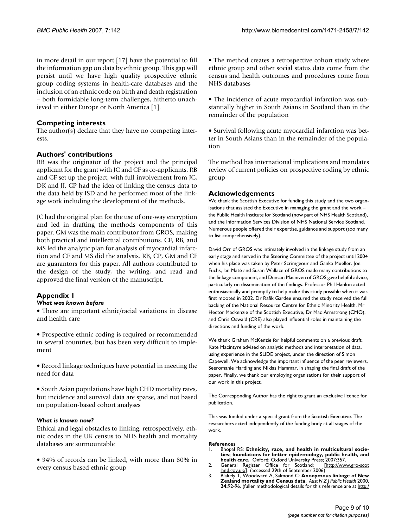in more detail in our report [17] have the potential to fill the information gap on data by ethnic group. This gap will persist until we have high quality prospective ethnic group coding systems in health-care databases and the inclusion of an ethnic code on birth and death registration – both formidable long-term challenges, hitherto unachieved in either Europe or North America [1].

#### **Competing interests**

The author(s) declare that they have no competing interests.

#### **Authors' contributions**

RB was the originator of the project and the principal applicant for the grant with JC and CF as co-applicants. RB and CF set up the project, with full involvement from JC, DK and JJ. CP had the idea of linking the census data to the data held by ISD and he performed most of the linkage work including the development of the methods.

JC had the original plan for the use of one-way encryption and led in drafting the methods components of this paper. GM was the main contributor from GROS, making both practical and intellectual contributions. CF, RB, and MS led the analytic plan for analysis of myocardial infarction and CF and MS did the analysis. RB, CP, GM and CF are guarantors for this paper. All authors contributed to the design of the study, the writing, and read and approved the final version of the manuscript.

#### **Appendix 1** *What was known before*

• There are important ethnic/racial variations in disease and health care

• Prospective ethnic coding is required or recommended in several countries, but has been very difficult to implement

• Record linkage techniques have potential in meeting the need for data

• South Asian populations have high CHD mortality rates, but incidence and survival data are sparse, and not based on population-based cohort analyses

#### *What is known now?*

Ethical and legal obstacles to linking, retrospectively, ethnic codes in the UK census to NHS health and mortality databases are surmountable

• 94% of records can be linked, with more than 80% in every census based ethnic group

• The method creates a retrospective cohort study where ethnic group and other social status data come from the census and health outcomes and procedures come from NHS databases

• The incidence of acute myocardial infarction was substantially higher in South Asians in Scotland than in the remainder of the population

• Survival following acute myocardial infarction was better in South Asians than in the remainder of the population

The method has international implications and mandates review of current policies on prospective coding by ethnic group

#### **Acknowledgements**

We thank the Scottish Executive for funding this study and the two organisations that assisted the Executive in managing the grant and the work – the Public Health Institute for Scotland (now part of NHS Health Scotland), and the Information Services Division of NHS National Service Scotland. Numerous people offered their expertise, guidance and support (too many to list comprehensively).

David Orr of GROS was intimately involved in the linkage study from an early stage and served in the Steering Committee of the project until 2004 when his place was taken by Peter Scrimgeour and Ganka Mueller. Joe Fuchs, Ian Maté and Susan Wallace of GROS made many contributions to the linkage component, and Duncan Macniven of GROS gave helpful advice, particularly on dissemination of the findings. Professor Phil Hanlon acted enthusiastically and promptly to help make this study possible when it was first mooted in 2002. Dr Rafik Gardee ensured the study received the full backing of the National Resource Centre for Ethnic Minority Health. Mr Hector Mackenzie of the Scottish Executive, Dr Mac Armstrong (CMO), and Chris Oswald (CRE) also played influential roles in maintaining the directions and funding of the work.

We thank Graham McKenzie for helpful comments on a previous draft. Kate Macintyre advised on analytic methods and interpretation of data, using experience in the SLIDE project, under the direction of Simon Capewell. We acknowledge the important influence of the peer reviewers, Seeromanie Harding and Niklas Hammar, in shaping the final draft of the paper. Finally, we thank our employing organisations for their support of our work in this project.

The Corresponding Author has the right to grant an exclusive licence for publication.

This was funded under a special grant from the Scottish Executive. The researchers acted independently of the funding body at all stages of the work.

#### **References**

- Bhopal RS: Ethnicity, race, and health in multicultural socie**ties; foundations for better epidemiology, public health, and health care.** Oxford: Oxford University Press; 2007:357.
- 2. General Register Office for Scotland: [\[http://www.gro-scot](http://www.gro-scotland.gov.uk/) land.gov.uk/]. (accessed 29th of September 2006)
- 3. Blakely T, Woodward A, Salmond C: **[Anonymous linkage of New](http://www.ncbi.nlm.nih.gov/entrez/query.fcgi?cmd=Retrieve&db=PubMed&dopt=Abstract&list_uids=10777988) [Zealand mortality and Census data.](http://www.ncbi.nlm.nih.gov/entrez/query.fcgi?cmd=Retrieve&db=PubMed&dopt=Abstract&list_uids=10777988)** *Aust N Z J Public Health* 2000, **24:**92-96. (fuller methodological details for this reference are at [http:/](http://www.wnmeds.ac.nz/academic/dph/research/HIRP/nzcms/nzcmsTechRptNo3SH.pdf)